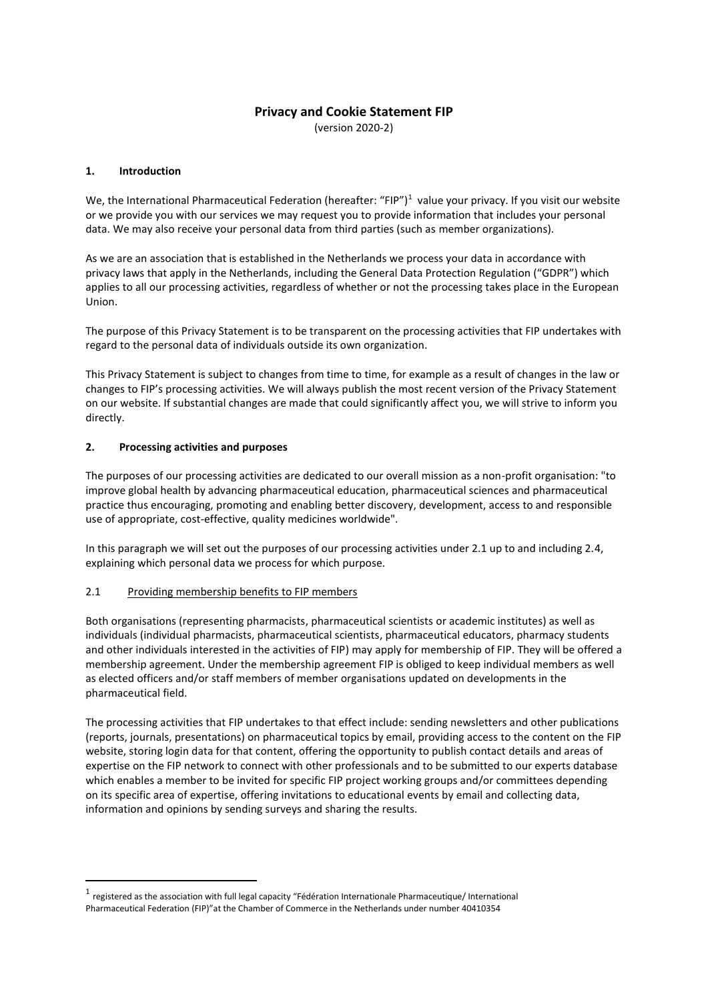# **Privacy and Cookie Statement FIP**

(version 2020-2)

## **1. Introduction**

We, the International Pharmaceutical Federation (hereafter: "FIP")<sup>1</sup> value your privacy. If you visit our website or we provide you with our services we may request you to provide information that includes your personal data. We may also receive your personal data from third parties (such as member organizations).

As we are an association that is established in the Netherlands we process your data in accordance with privacy laws that apply in the Netherlands, including the General Data Protection Regulation ("GDPR") which applies to all our processing activities, regardless of whether or not the processing takes place in the European Union.

The purpose of this Privacy Statement is to be transparent on the processing activities that FIP undertakes with regard to the personal data of individuals outside its own organization.

This Privacy Statement is subject to changes from time to time, for example as a result of changes in the law or changes to FIP's processing activities. We will always publish the most recent version of the Privacy Statement on our website. If substantial changes are made that could significantly affect you, we will strive to inform you directly.

## **2. Processing activities and purposes**

The purposes of our processing activities are dedicated to our overall mission as a non-profit organisation: "to improve global health by advancing pharmaceutical education, pharmaceutical sciences and pharmaceutical practice thus encouraging, promoting and enabling better discovery, development, access to and responsible use of appropriate, cost-effective, quality medicines worldwide".

In this paragraph we will set out the purposes of our processing activities under 2.1 up to and including 2.4, explaining which personal data we process for which purpose.

## 2.1 Providing membership benefits to FIP members

Both organisations (representing pharmacists, pharmaceutical scientists or academic institutes) as well as individuals (individual pharmacists, pharmaceutical scientists, pharmaceutical educators, pharmacy students and other individuals interested in the activities of FIP) may apply for membership of FIP. They will be offered a membership agreement. Under the membership agreement FIP is obliged to keep individual members as well as elected officers and/or staff members of member organisations updated on developments in the pharmaceutical field.

The processing activities that FIP undertakes to that effect include: sending newsletters and other publications (reports, journals, presentations) on pharmaceutical topics by email, providing access to the content on the FIP website, storing login data for that content, offering the opportunity to publish contact details and areas of expertise on the FIP network to connect with other professionals and to be submitted to our experts database which enables a member to be invited for specific FIP project working groups and/or committees depending on its specific area of expertise, offering invitations to educational events by email and collecting data, information and opinions by sending surveys and sharing the results.

 $^{\text{1}}$  registered as the association with full legal capacity "Fédération Internationale Pharmaceutique/ International Pharmaceutical Federation (FIP)"at the Chamber of Commerce in the Netherlands under number 40410354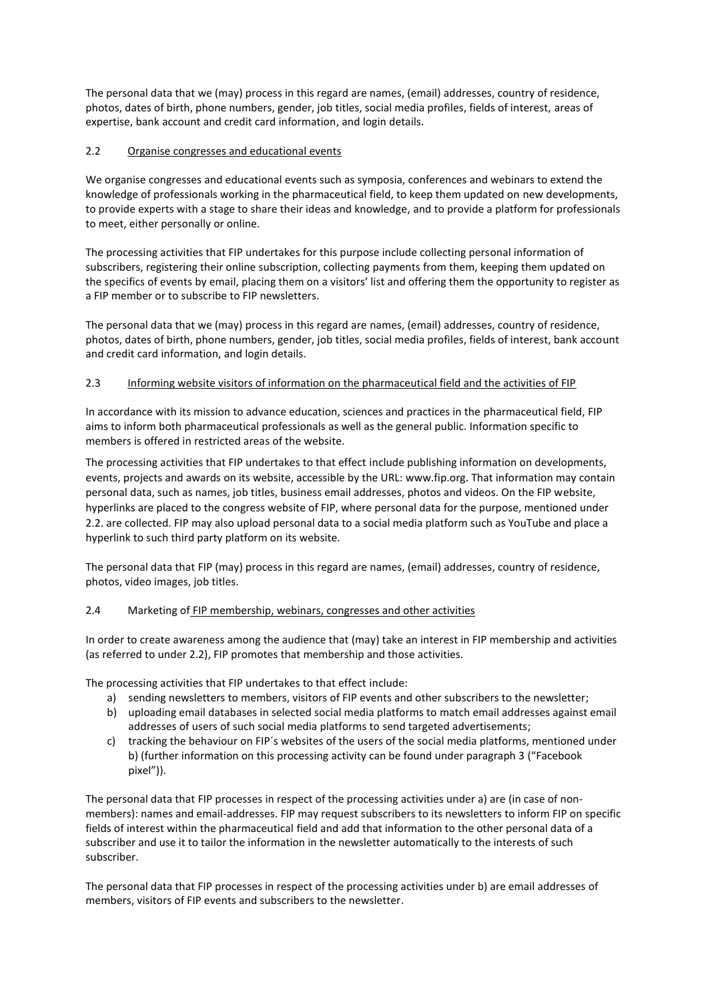The personal data that we (may) process in this regard are names, (email) addresses, country of residence, photos, dates of birth, phone numbers, gender, job titles, social media profiles, fields of interest, areas of expertise, bank account and credit card information, and login details.

## 2.2 Organise congresses and educational events

We organise congresses and educational events such as symposia, conferences and webinars to extend the knowledge of professionals working in the pharmaceutical field, to keep them updated on new developments, to provide experts with a stage to share their ideas and knowledge, and to provide a platform for professionals to meet, either personally or online.

The processing activities that FIP undertakes for this purpose include collecting personal information of subscribers, registering their online subscription, collecting payments from them, keeping them updated on the specifics of events by email, placing them on a visitors' list and offering them the opportunity to register as a FIP member or to subscribe to FIP newsletters.

The personal data that we (may) process in this regard are names, (email) addresses, country of residence, photos, dates of birth, phone numbers, gender, job titles, social media profiles, fields of interest, bank account and credit card information, and login details.

## 2.3 Informing website visitors of information on the pharmaceutical field and the activities of FIP

In accordance with its mission to advance education, sciences and practices in the pharmaceutical field, FIP aims to inform both pharmaceutical professionals as well as the general public. Information specific to members is offered in restricted areas of the website.

The processing activities that FIP undertakes to that effect include publishing information on developments, events, projects and awards on its website, accessible by the URL: www.fip.org. That information may contain personal data, such as names, job titles, business email addresses, photos and videos. On the FIP website, hyperlinks are placed to the congress website of FIP, where personal data for the purpose, mentioned under 2.2. are collected. FIP may also upload personal data to a social media platform such as YouTube and place a hyperlink to such third party platform on its website.

The personal data that FIP (may) process in this regard are names, (email) addresses, country of residence, photos, video images, job titles.

## 2.4 Marketing of FIP membership, webinars, congresses and other activities

In order to create awareness among the audience that (may) take an interest in FIP membership and activities (as referred to under 2.2), FIP promotes that membership and those activities.

The processing activities that FIP undertakes to that effect include:

- a) sending newsletters to members, visitors of FIP events and other subscribers to the newsletter;
- b) uploading email databases in selected social media platforms to match email addresses against email addresses of users of such social media platforms to send targeted advertisements;
- c) tracking the behaviour on FIP´s websites of the users of the social media platforms, mentioned under b) (further information on this processing activity can be found under paragraph 3 ("Facebook pixel")).

The personal data that FIP processes in respect of the processing activities under a) are (in case of nonmembers): names and email-addresses. FIP may request subscribers to its newsletters to inform FIP on specific fields of interest within the pharmaceutical field and add that information to the other personal data of a subscriber and use it to tailor the information in the newsletter automatically to the interests of such subscriber.

The personal data that FIP processes in respect of the processing activities under b) are email addresses of members, visitors of FIP events and subscribers to the newsletter.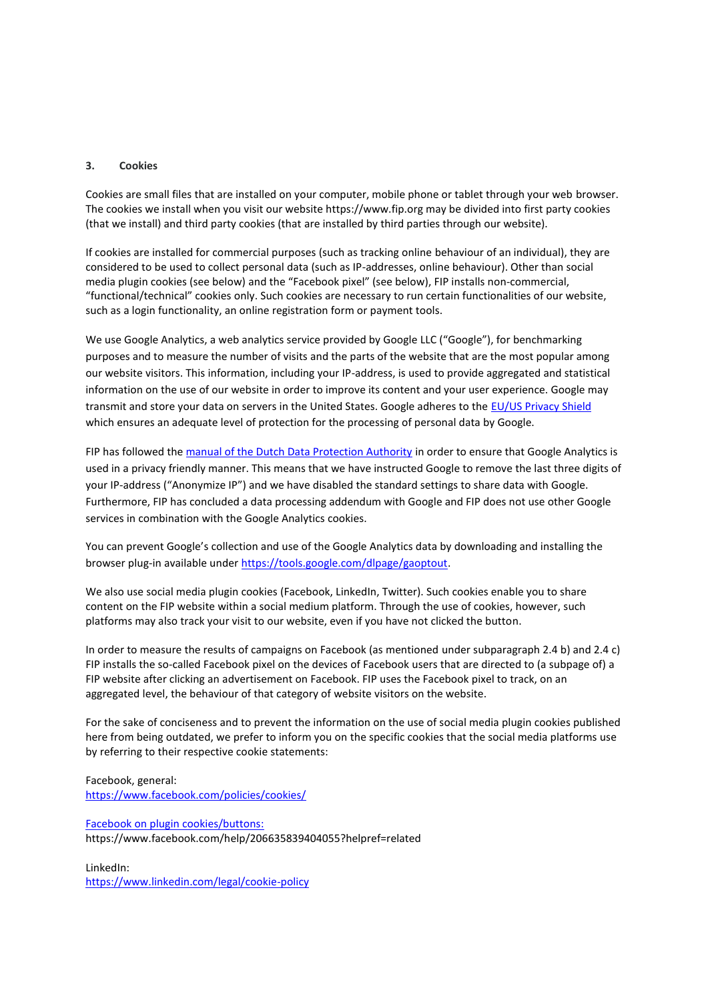#### **3. Cookies**

Cookies are small files that are installed on your computer, mobile phone or tablet through your web browser. The cookies we install when you visit our website https://www.fip.org may be divided into first party cookies (that we install) and third party cookies (that are installed by third parties through our website).

If cookies are installed for commercial purposes (such as tracking online behaviour of an individual), they are considered to be used to collect personal data (such as IP-addresses, online behaviour). Other than social media plugin cookies (see below) and the "Facebook pixel" (see below), FIP installs non-commercial, "functional/technical" cookies only. Such cookies are necessary to run certain functionalities of our website, such as a login functionality, an online registration form or payment tools.

We use Google Analytics, a web analytics service provided by Google LLC ("Google"), for benchmarking purposes and to measure the number of visits and the parts of the website that are the most popular among our website visitors. This information, including your IP-address, is used to provide aggregated and statistical information on the use of our website in order to improve its content and your user experience. Google may transmit and store your data on servers in the United States. Google adheres to the [EU/US Privacy Shield](https://www.privacyshield.gov/welcome) which ensures an adequate level of protection for the processing of personal data by Google.

FIP has followed th[e manual of the Dutch Data Protection Authority](https://autoriteitpersoonsgegevens.nl/sites/default/files/atoms/files/138._handleiding_privacyvriendelijk_instellen_google_analytics_aug_2018.pdf) in order to ensure that Google Analytics is used in a privacy friendly manner. This means that we have instructed Google to remove the last three digits of your IP-address ("Anonymize IP") and we have disabled the standard settings to share data with Google. Furthermore, FIP has concluded a data processing addendum with Google and FIP does not use other Google services in combination with the Google Analytics cookies.

You can prevent Google's collection and use of the Google Analytics data by downloading and installing the browser plug-in available under [https://tools.google.com/dlpage/gaoptout.](https://tools.google.com/dlpage/gaoptout)

We also use social media plugin cookies (Facebook, LinkedIn, Twitter). Such cookies enable you to share content on the FIP website within a social medium platform. Through the use of cookies, however, such platforms may also track your visit to our website, even if you have not clicked the button.

In order to measure the results of campaigns on Facebook (as mentioned under subparagraph 2.4 b) and 2.4 c) FIP installs the so-called Facebook pixel on the devices of Facebook users that are directed to (a subpage of) a FIP website after clicking an advertisement on Facebook. FIP uses the Facebook pixel to track, on an aggregated level, the behaviour of that category of website visitors on the website.

For the sake of conciseness and to prevent the information on the use of social media plugin cookies published here from being outdated, we prefer to inform you on the specific cookies that the social media platforms use by referring to their respective cookie statements:

Facebook, general: <https://www.facebook.com/policies/cookies/>

Facebook on plugin cookies/buttons: https://www.facebook.com/help/206635839404055?helpref=related

LinkedIn: <https://www.linkedin.com/legal/cookie-policy>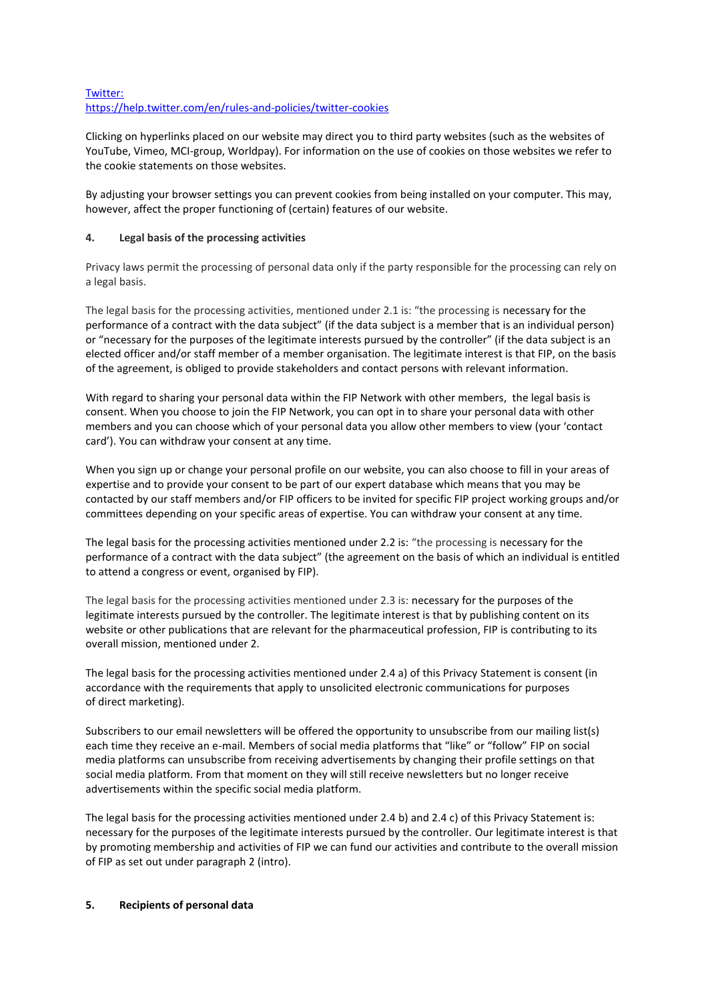## Twitter: <https://help.twitter.com/en/rules-and-policies/twitter-cookies>

Clicking on hyperlinks placed on our website may direct you to third party websites (such as the websites of YouTube, Vimeo, MCI-group, Worldpay). For information on the use of cookies on those websites we refer to the cookie statements on those websites.

By adjusting your browser settings you can prevent cookies from being installed on your computer. This may, however, affect the proper functioning of (certain) features of our website.

## **4. Legal basis of the processing activities**

Privacy laws permit the processing of personal data only if the party responsible for the processing can rely on a legal basis.

The legal basis for the processing activities, mentioned under 2.1 is: "the processing is necessary for the performance of a contract with the data subject" (if the data subject is a member that is an individual person) or "necessary for the purposes of the legitimate interests pursued by the controller" (if the data subject is an elected officer and/or staff member of a member organisation. The legitimate interest is that FIP, on the basis of the agreement, is obliged to provide stakeholders and contact persons with relevant information.

With regard to sharing your personal data within the FIP Network with other members, the legal basis is consent. When you choose to join the FIP Network, you can opt in to share your personal data with other members and you can choose which of your personal data you allow other members to view (your 'contact card'). You can withdraw your consent at any time.

When you sign up or change your personal profile on our website, you can also choose to fill in your areas of expertise and to provide your consent to be part of our expert database which means that you may be contacted by our staff members and/or FIP officers to be invited for specific FIP project working groups and/or committees depending on your specific areas of expertise. You can withdraw your consent at any time.

The legal basis for the processing activities mentioned under 2.2 is: "the processing is necessary for the performance of a contract with the data subject" (the agreement on the basis of which an individual is entitled to attend a congress or event, organised by FIP).

The legal basis for the processing activities mentioned under 2.3 is: necessary for the purposes of the legitimate interests pursued by the controller. The legitimate interest is that by publishing content on its website or other publications that are relevant for the pharmaceutical profession, FIP is contributing to its overall mission, mentioned under 2.

The legal basis for the processing activities mentioned under 2.4 a) of this Privacy Statement is consent (in accordance with the requirements that apply to unsolicited electronic communications for purposes of direct marketing).

Subscribers to our email newsletters will be offered the opportunity to unsubscribe from our mailing list(s) each time they receive an e-mail. Members of social media platforms that "like" or "follow" FIP on social media platforms can unsubscribe from receiving advertisements by changing their profile settings on that social media platform. From that moment on they will still receive newsletters but no longer receive advertisements within the specific social media platform.

The legal basis for the processing activities mentioned under 2.4 b) and 2.4 c) of this Privacy Statement is: necessary for the purposes of the legitimate interests pursued by the controller. Our legitimate interest is that by promoting membership and activities of FIP we can fund our activities and contribute to the overall mission of FIP as set out under paragraph 2 (intro).

## **5. Recipients of personal data**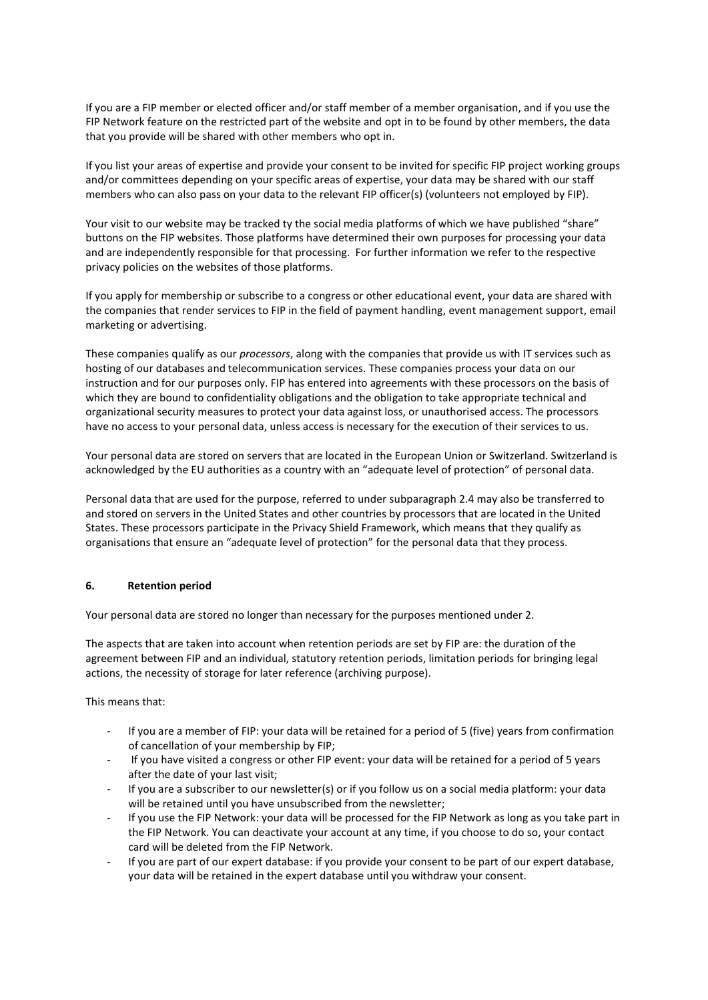If you are a FIP member or elected officer and/or staff member of a member organisation, and if you use the FIP Network feature on the restricted part of the website and opt in to be found by other members, the data that you provide will be shared with other members who opt in.

If you list your areas of expertise and provide your consent to be invited for specific FIP project working groups and/or committees depending on your specific areas of expertise, your data may be shared with our staff members who can also pass on your data to the relevant FIP officer(s) (volunteers not employed by FIP).

Your visit to our website may be tracked ty the social media platforms of which we have published "share" buttons on the FIP websites. Those platforms have determined their own purposes for processing your data and are independently responsible for that processing. For further information we refer to the respective privacy policies on the websites of those platforms.

If you apply for membership or subscribe to a congress or other educational event, your data are shared with the companies that render services to FIP in the field of payment handling, event management support, email marketing or advertising.

These companies qualify as our *processors*, along with the companies that provide us with IT services such as hosting of our databases and telecommunication services. These companies process your data on our instruction and for our purposes only. FIP has entered into agreements with these processors on the basis of which they are bound to confidentiality obligations and the obligation to take appropriate technical and organizational security measures to protect your data against loss, or unauthorised access. The processors have no access to your personal data, unless access is necessary for the execution of their services to us.

Your personal data are stored on servers that are located in the European Union or Switzerland. Switzerland is acknowledged by the EU authorities as a country with an "adequate level of protection" of personal data.

Personal data that are used for the purpose, referred to under subparagraph 2.4 may also be transferred to and stored on servers in the United States and other countries by processors that are located in the United States. These processors participate in the Privacy Shield Framework, which means that they qualify as organisations that ensure an "adequate level of protection" for the personal data that they process.

## **6. Retention period**

Your personal data are stored no longer than necessary for the purposes mentioned under 2.

The aspects that are taken into account when retention periods are set by FIP are: the duration of the agreement between FIP and an individual, statutory retention periods, limitation periods for bringing legal actions, the necessity of storage for later reference (archiving purpose).

This means that:

- If you are a member of FIP: your data will be retained for a period of 5 (five) years from confirmation of cancellation of your membership by FIP;
- If you have visited a congress or other FIP event: your data will be retained for a period of 5 years after the date of your last visit;
- If you are a subscriber to our newsletter(s) or if you follow us on a social media platform: your data will be retained until you have unsubscribed from the newsletter;
- If you use the FIP Network: your data will be processed for the FIP Network as long as you take part in the FIP Network. You can deactivate your account at any time, if you choose to do so, your contact card will be deleted from the FIP Network.
- If you are part of our expert database: if you provide your consent to be part of our expert database, your data will be retained in the expert database until you withdraw your consent.